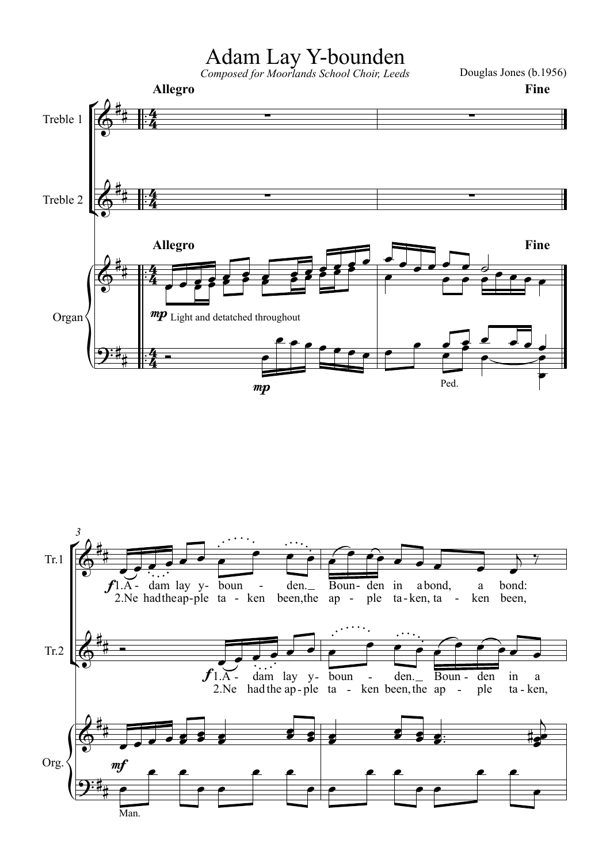## Adam Lay Y-bounden

Douglas Jones (b.1956)



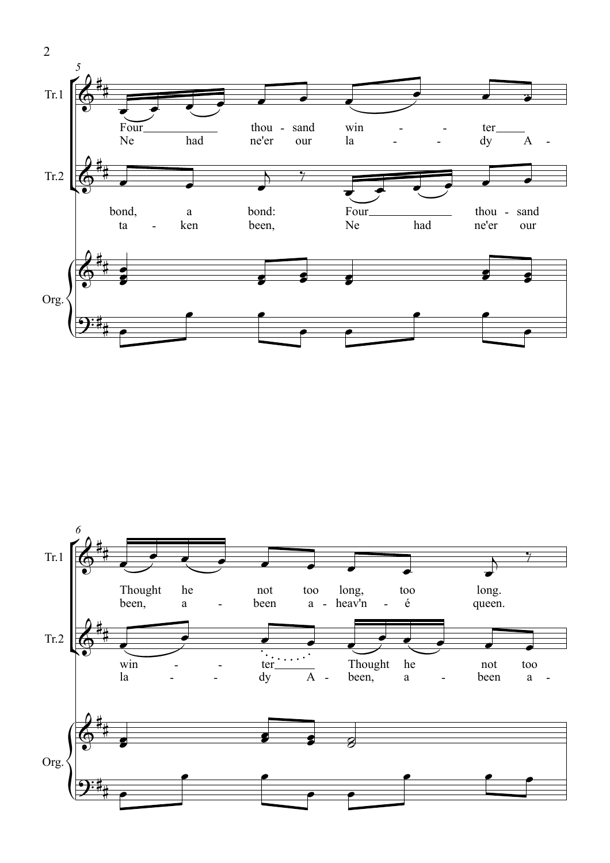

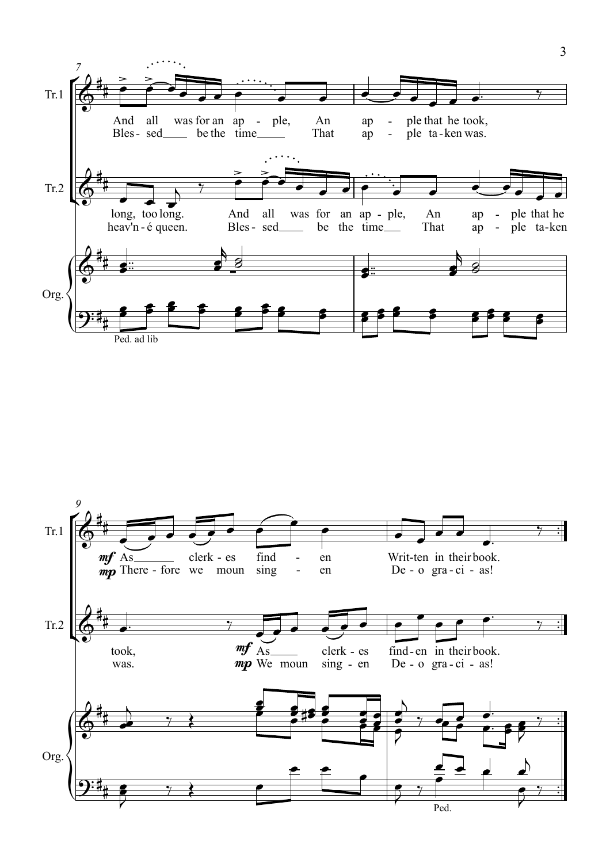